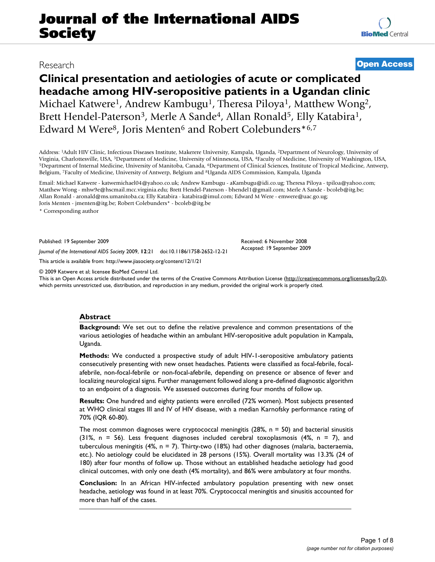# **Clinical presentation and aetiologies of acute or complicated headache among HIV-seropositive patients in a Ugandan clinic** Michael Katwere<sup>1</sup>, Andrew Kambugu<sup>1</sup>, Theresa Piloya<sup>1</sup>, Matthew Wong<sup>2</sup>, Brett Hendel-Paterson<sup>3</sup>, Merle A Sande<sup>4</sup>, Allan Ronald<sup>5</sup>, Elly Katabira<sup>1</sup>, Edward M Were<sup>8</sup>, Joris Menten<sup>6</sup> and Robert Colebunders<sup>\*6,7</sup>

Address: 1Adult HIV Clinic, Infectious Diseases Institute, Makerere University, Kampala, Uganda, 2Department of Neurology, University of Virginia, Charlottesville, USA, <sup>3</sup>Department of Medicine, University of Minnesota, USA, <sup>4</sup>Faculty of Medicine, University of Washington, USA, <sup>5</sup>Department of Internal Medicine, University of Washington, USA, <sup>5</sup>Departme Belgium, 7Faculty of Medicine, University of Antwerp, Belgium and 8Uganda AIDS Commission, Kampala, Uganda

Email: Michael Katwere - katwemichael04@yahoo.co.uk; Andrew Kambugu - aKambugu@idi.co.ug; Theresa Piloya - tpiloa@yahoo.com; Matthew Wong - mhw9e@hscmail.mcc.virginia.edu; Brett Hendel-Paterson - bhendel1@gmail.com; Merle A Sande - bcoleb@itg.be; Allan Ronald - aronald@ms.umanitoba.ca; Elly Katabira - katabira@imul.com; Edward M Were - emwere@uac.go.ug; Joris Menten - jmenten@itg.be; Robert Colebunders\* - bcoleb@itg.be

\* Corresponding author

Published: 19 September 2009

*Journal of the International AIDS Society* 2009, **12**:21 doi:10.1186/1758-2652-12-21

[This article is available from: http://www.jiasociety.org/content/12/1/21](http://www.jiasociety.org/content/12/1/21)

© 2009 Katwere et al; licensee BioMed Central Ltd.

This is an Open Access article distributed under the terms of the Creative Commons Attribution License [\(http://creativecommons.org/licenses/by/2.0\)](http://creativecommons.org/licenses/by/2.0), which permits unrestricted use, distribution, and reproduction in any medium, provided the original work is properly cited.

Received: 6 November 2008 Accepted: 19 September 2009

# **Abstract**

**Background:** We set out to define the relative prevalence and common presentations of the various aetiologies of headache within an ambulant HIV-seropositive adult population in Kampala, Uganda.

**Methods:** We conducted a prospective study of adult HIV-1-seropositive ambulatory patients consecutively presenting with new onset headaches. Patients were classified as focal-febrile, focalafebrile, non-focal-febrile or non-focal-afebrile, depending on presence or absence of fever and localizing neurological signs. Further management followed along a pre-defined diagnostic algorithm to an endpoint of a diagnosis. We assessed outcomes during four months of follow up.

**Results:** One hundred and eighty patients were enrolled (72% women). Most subjects presented at WHO clinical stages III and IV of HIV disease, with a median Karnofsky performance rating of 70% (IQR 60-80).

The most common diagnoses were cryptococcal meningitis (28%,  $n = 50$ ) and bacterial sinusitis (31%,  $n = 56$ ). Less frequent diagnoses included cerebral toxoplasmosis (4%,  $n = 7$ ), and tuberculous meningitis (4%, n = 7). Thirty-two (18%) had other diagnoses (malaria, bacteraemia, etc.). No aetiology could be elucidated in 28 persons (15%). Overall mortality was 13.3% (24 of 180) after four months of follow up. Those without an established headache aetiology had good clinical outcomes, with only one death (4% mortality), and 86% were ambulatory at four months.

**Conclusion:** In an African HIV-infected ambulatory population presenting with new onset headache, aetiology was found in at least 70%. Cryptococcal meningitis and sinusitis accounted for more than half of the cases.

# Research **[Open Access](http://www.biomedcentral.com/info/about/charter/)**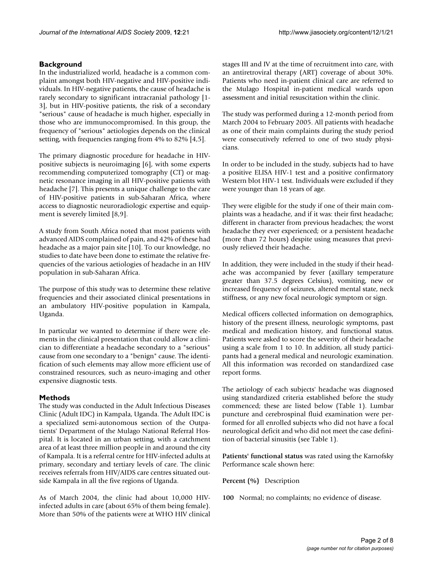# **Background**

In the industrialized world, headache is a common complaint amongst both HIV-negative and HIV-positive individuals. In HIV-negative patients, the cause of headache is rarely secondary to significant intracranial pathology [1- 3], but in HIV-positive patients, the risk of a secondary "serious" cause of headache is much higher, especially in those who are immunocompromised. In this group, the frequency of "serious" aetiologies depends on the clinical setting, with frequencies ranging from 4% to 82% [4,5].

The primary diagnostic procedure for headache in HIVpositive subjects is neuroimaging [6], with some experts recommending computerized tomography (CT) or magnetic resonance imaging in all HIV-positive patients with headache [7]. This presents a unique challenge to the care of HIV-positive patients in sub-Saharan Africa, where access to diagnostic neuroradiologic expertise and equipment is severely limited [8,9].

A study from South Africa noted that most patients with advanced AIDS complained of pain, and 42% of these had headache as a major pain site [10]. To our knowledge, no studies to date have been done to estimate the relative frequencies of the various aetiologies of headache in an HIV population in sub-Saharan Africa.

The purpose of this study was to determine these relative frequencies and their associated clinical presentations in an ambulatory HIV-positive population in Kampala, Uganda.

In particular we wanted to determine if there were elements in the clinical presentation that could allow a clinician to differentiate a headache secondary to a "serious" cause from one secondary to a "benign" cause. The identification of such elements may allow more efficient use of constrained resources, such as neuro-imaging and other expensive diagnostic tests.

# **Methods**

The study was conducted in the Adult Infectious Diseases Clinic (Adult IDC) in Kampala, Uganda. The Adult IDC is a specialized semi-autonomous section of the Outpatients' Department of the Mulago National Referral Hospital. It is located in an urban setting, with a catchment area of at least three million people in and around the city of Kampala. It is a referral centre for HIV-infected adults at primary, secondary and tertiary levels of care. The clinic receives referrals from HIV/AIDS care centres situated outside Kampala in all the five regions of Uganda.

As of March 2004, the clinic had about 10,000 HIVinfected adults in care (about 65% of them being female). More than 50% of the patients were at WHO HIV clinical stages III and IV at the time of recruitment into care, with an antiretroviral therapy (ART) coverage of about 30%. Patients who need in-patient clinical care are referred to the Mulago Hospital in-patient medical wards upon assessment and initial resuscitation within the clinic.

The study was performed during a 12-month period from March 2004 to February 2005. All patients with headache as one of their main complaints during the study period were consecutively referred to one of two study physicians.

In order to be included in the study, subjects had to have a positive ELISA HIV-1 test and a positive confirmatory Western blot HIV-1 test. Individuals were excluded if they were younger than 18 years of age.

They were eligible for the study if one of their main complaints was a headache, and if it was: their first headache; different in character from previous headaches; the worst headache they ever experienced; or a persistent headache (more than 72 hours) despite using measures that previously relieved their headache.

In addition, they were included in the study if their headache was accompanied by fever (axillary temperature greater than 37.5 degrees Celsius), vomiting, new or increased frequency of seizures, altered mental state, neck stiffness, or any new focal neurologic symptom or sign.

Medical officers collected information on demographics, history of the present illness, neurologic symptoms, past medical and medication history, and functional status. Patients were asked to score the severity of their headache using a scale from 1 to 10. In addition, all study participants had a general medical and neurologic examination. All this information was recorded on standardized case report forms.

The aetiology of each subjects' headache was diagnosed using standardized criteria established before the study commenced; these are listed below (Table 1). Lumbar puncture and cerebrospinal fluid examination were performed for all enrolled subjects who did not have a focal neurological deficit and who did not meet the case definition of bacterial sinusitis (see Table 1).

**Patients' functional status** was rated using the Karnofsky Performance scale shown here:

**Percent (%)** Description

**100** Normal; no complaints; no evidence of disease.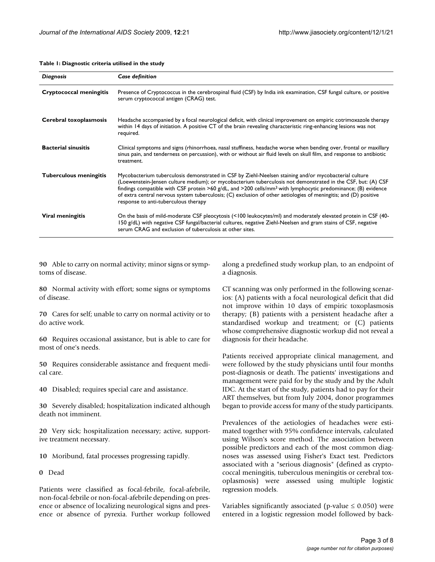### **Table 1: Diagnostic criteria utilised in the study**

| <b>Diagnosis</b>               | <b>Case definition</b>                                                                                                                                                                                                                                                                                                                                                                                                                                                                                         |
|--------------------------------|----------------------------------------------------------------------------------------------------------------------------------------------------------------------------------------------------------------------------------------------------------------------------------------------------------------------------------------------------------------------------------------------------------------------------------------------------------------------------------------------------------------|
| <b>Cryptococcal meningitis</b> | Presence of Cryptococcus in the cerebrospinal fluid (CSF) by India ink examination, CSF fungal culture, or positive<br>serum cryptococcal antigen (CRAG) test.                                                                                                                                                                                                                                                                                                                                                 |
| Cerebral toxoplasmosis         | Headache accompanied by a focal neurological deficit, with clinical improvement on empiric cotrimoxazole therapy<br>within 14 days of initiation. A positive CT of the brain revealing characteristic ring-enhancing lesions was not<br>required.                                                                                                                                                                                                                                                              |
| <b>Bacterial sinusitis</b>     | Clinical symptoms and signs (rhinorrhoea, nasal stuffiness, headache worse when bending over, frontal or maxillary<br>sinus pain, and tenderness on percussion), with or without air fluid levels on skull film, and response to antibiotic<br>treatment.                                                                                                                                                                                                                                                      |
| <b>Tuberculous meningitis</b>  | Mycobacterium tuberculosis demonstrated in CSF by Ziehl-Neelsen staining and/or mycobacterial culture<br>(Loewenstein-Jensen culture medium); or mycobacterium tuberculosis not demonstrated in the CSF, but: (A) CSF<br>findings compatible with CSF protein >60 g/dL, and >200 cells/mm <sup>3</sup> with lymphocytic predominance; (B) evidence<br>of extra central nervous system tuberculosis; (C) exclusion of other aetiologies of meningitis; and (D) positive<br>response to anti-tuberculous therapy |
| Viral meningitis               | On the basis of mild-moderate CSF pleocytosis (<100 leukocytes/ml) and moderately elevated protein in CSF (40-<br>150 g/dL) with negative CSF fungal/bacterial cultures, negative Ziehl-Neelsen and gram stains of CSF, negative<br>serum CRAG and exclusion of tuberculosis at other sites.                                                                                                                                                                                                                   |

**90** Able to carry on normal activity; minor signs or symptoms of disease.

**80** Normal activity with effort; some signs or symptoms of disease.

**70** Cares for self; unable to carry on normal activity or to do active work.

**60** Requires occasional assistance, but is able to care for most of one's needs.

**50** Requires considerable assistance and frequent medical care.

**40** Disabled; requires special care and assistance.

**30** Severely disabled; hospitalization indicated although death not imminent.

**20** Very sick; hospitalization necessary; active, supportive treatment necessary.

**10** Moribund, fatal processes progressing rapidly.

**0** Dead

Patients were classified as focal-febrile, focal-afebrile, non-focal-febrile or non-focal-afebrile depending on presence or absence of localizing neurological signs and presence or absence of pyrexia. Further workup followed along a predefined study workup plan, to an endpoint of a diagnosis.

CT scanning was only performed in the following scenarios: (A) patients with a focal neurological deficit that did not improve within 10 days of empiric toxoplasmosis therapy; (B) patients with a persistent headache after a standardised workup and treatment; or (C) patients whose comprehensive diagnostic workup did not reveal a diagnosis for their headache.

Patients received appropriate clinical management, and were followed by the study physicians until four months post-diagnosis or death. The patients' investigations and management were paid for by the study and by the Adult IDC. At the start of the study, patients had to pay for their ART themselves, but from July 2004, donor programmes began to provide access for many of the study participants.

Prevalences of the aetiologies of headaches were estimated together with 95% confidence intervals, calculated using Wilson's score method. The association between possible predictors and each of the most common diagnoses was assessed using Fisher's Exact test. Predictors associated with a "serious diagnosis" (defined as cryptococcal meningitis, tuberculous meningitis or cerebral toxoplasmosis) were assessed using multiple logistic regression models.

Variables significantly associated (p-value  $\leq 0.050$ ) were entered in a logistic regression model followed by back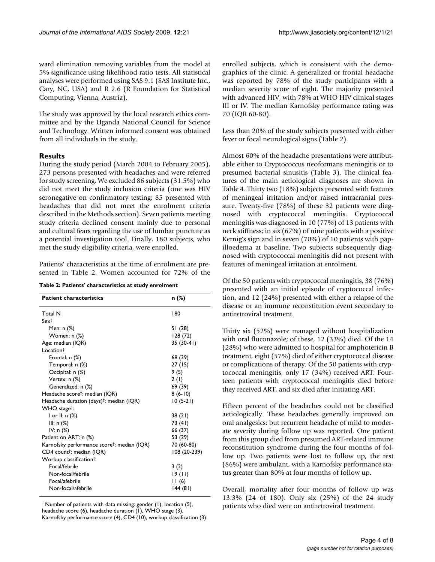ward elimination removing variables from the model at 5% significance using likelihood ratio tests. All statistical analyses were performed using SAS 9.1 (SAS Institute Inc., Cary, NC, USA) and R 2.6 (R Foundation for Statistical Computing, Vienna, Austria).

The study was approved by the local research ethics committee and by the Uganda National Council for Science and Technology. Written informed consent was obtained from all individuals in the study.

# **Results**

During the study period (March 2004 to February 2005), 273 persons presented with headaches and were referred for study screening. We excluded 86 subjects (31.5%) who did not meet the study inclusion criteria (one was HIV seronegative on confirmatory testing; 85 presented with headaches that did not meet the enrolment criteria described in the Methods section). Seven patients meeting study criteria declined consent mainly due to personal and cultural fears regarding the use of lumbar puncture as a potential investigation tool. Finally, 180 subjects, who met the study eligibility criteria, were enrolled.

Patients' characteristics at the time of enrolment are presented in Table 2. Women accounted for 72% of the

**Table 2: Patients' characteristics at study enrolment**

| <b>Patient characteristics</b>                          | n (%)        |
|---------------------------------------------------------|--------------|
| Total N                                                 | 180          |
| Sext                                                    |              |
| Men: n (%)                                              | 51 (28)      |
| Women: n (%)                                            | 128(72)      |
| Age: median (IQR)                                       | 35 (30-41)   |
| Location <sup>†</sup>                                   |              |
| Frontal: n (%)                                          | 68 (39)      |
| Temporal: n (%)                                         | 27(15)       |
| Occipital: n (%)                                        | 9(5)         |
| Vertex: n (%)                                           | 2(1)         |
| Generalized: n (%)                                      | 69 (39)      |
| Headache scoret: median (IQR)                           | $8(6-10)$    |
| Headache duration (days) <sup>†</sup> : median (IQR)    | $10(5-21)$   |
| WHO stage <sup>†</sup> :                                |              |
| $l$ or $ll: n$ $(\%)$                                   | 38 (21)      |
| III: $n$ $(\%)$                                         | 73 (41)      |
| IV: n (%)                                               | 66 (37)      |
| Patient on ART: n (%)                                   | 53 (29)      |
| Karnofsky performance score <sup>†</sup> : median (IQR) | 70 (60-80)   |
| CD4 count <sup>†</sup> : median (IQR)                   | 108 (20-239) |
| Workup classification <sup>†</sup> :                    |              |
| Focal/febrile                                           | 3(2)         |
| Non-focal/febrile                                       | 19(11)       |
| Focal/afebrile                                          | 11(6)        |
| Non-focal/afebrile                                      | 144 (81)     |
|                                                         |              |

† Number of patients with data missing: gender (1), location (5), headache score (6), headache duration (1), WHO stage (3), Karnofsky performance score (4), CD4 (10), workup classification (3). enrolled subjects, which is consistent with the demographics of the clinic. A generalized or frontal headache was reported by 78% of the study participants with a median severity score of eight. The majority presented with advanced HIV, with 78% at WHO HIV clinical stages III or IV. The median Karnofsky performance rating was 70 (IQR 60-80).

Less than 20% of the study subjects presented with either fever or focal neurological signs (Table 2).

Almost 60% of the headache presentations were attributable either to Cryptococcus neoformans meningitis or to presumed bacterial sinusitis (Table 3). The clinical features of the main aetiological diagnoses are shown in Table 4. Thirty two (18%) subjects presented with features of meningeal irritation and/or raised intracranial pressure. Twenty-five (78%) of these 32 patients were diagnosed with cryptococcal meningitis. Cryptococcal meningitis was diagnosed in 10 (77%) of 13 patients with neck stiffness; in six (67%) of nine patients with a positive Kernig's sign and in seven (70%) of 10 patients with papilloedema at baseline. Two subjects subsequently diagnosed with cryptococcal meningitis did not present with features of meningeal irritation at enrolment.

Of the 50 patients with cryptococcal meningitis, 38 (76%) presented with an initial episode of cryptococcal infection, and 12 (24%) presented with either a relapse of the disease or an immune reconstitution event secondary to antiretroviral treatment.

Thirty six (52%) were managed without hospitalization with oral fluconazole; of these, 12 (33%) died. Of the 14 (28%) who were admitted to hospital for amphotericin B treatment, eight (57%) died of either cryptococcal disease or complications of therapy. Of the 50 patients with cryptococcal meningitis, only 17 (34%) received ART. Fourteen patients with cryptococcal meningitis died before they received ART, and six died after initiating ART.

Fifteen percent of the headaches could not be classified aetiologically. These headaches generally improved on oral analgesics; but recurrent headache of mild to moderate severity during follow up was reported. One patient from this group died from presumed ART-related immune reconstitution syndrome during the four months of follow up. Two patients were lost to follow up, the rest (86%) were ambulant, with a Karnofsky performance status greater than 80% at four months of follow up.

Overall, mortality after four months of follow up was 13.3% (24 of 180). Only six (25%) of the 24 study patients who died were on antiretroviral treatment.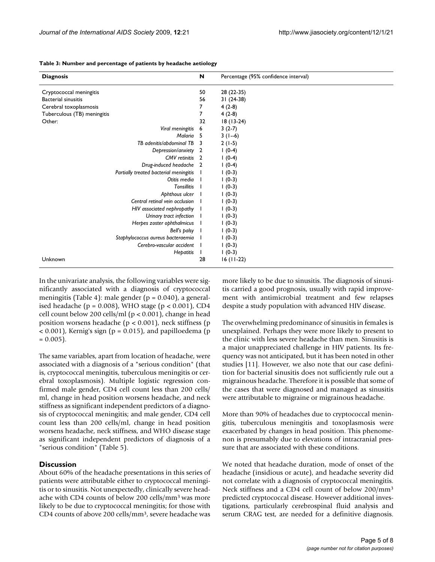| <b>Diagnosis</b>            |                                        | N              | Percentage (95% confidence interval) |
|-----------------------------|----------------------------------------|----------------|--------------------------------------|
| Cryptococcal meningitis     |                                        | 50             | 28 (22-35)                           |
| <b>Bacterial sinusitis</b>  |                                        | 56             | $31(24-38)$                          |
| Cerebral toxoplasmosis      |                                        | 7              | $4(2-8)$                             |
| Tuberculous (TB) meningitis |                                        | 7              | $4(2-8)$                             |
| Other:                      |                                        | 32             | $18(13-24)$                          |
|                             | Viral meningitis                       | 6              | $3(2-7)$                             |
|                             | Malaria                                | 5              | $3(1-6)$                             |
|                             | TB adenitis/abdominal TB               | 3              | $2(1-5)$                             |
|                             | Depression/anxiety 2                   |                | $1(0-4)$                             |
|                             | <b>CMV</b> retinitis                   | $\overline{2}$ | $1(0-4)$                             |
|                             | Drug-induced headache                  | $\overline{2}$ | $1(0-4)$                             |
|                             | Partially treated bacterial meningitis |                | $1(0-3)$                             |
|                             | Otitis media                           |                | $1(0-3)$                             |
|                             | <b>Tonsillitis</b>                     |                | $1(0-3)$                             |
|                             | Aphthous ulcer                         |                | $1(0-3)$                             |
|                             | Central retinal vein occlusion         |                | $1(0-3)$                             |
|                             | HIV associated nephropathy             |                | $1(0-3)$                             |
|                             | Urinary tract infection                |                | $1(0-3)$                             |
|                             | Herpes zoster ophthalmicus             |                | $1(0-3)$                             |
|                             | <b>Bell's palsy</b>                    |                | $1(0-3)$                             |
|                             | Staphylococcus aureus bacteraemia      |                | $1(0-3)$                             |
|                             | Cerebro-vascular accident              |                | $1(0-3)$                             |
|                             | <b>Hepatitis</b>                       | $\mathbf{I}$   | $1(0-3)$                             |
| Unknown                     |                                        | 28             | 16 (11-22)                           |

#### **Table 3: Number and percentage of patients by headache aetiology**

In the univariate analysis, the following variables were significantly associated with a diagnosis of cryptococcal meningitis (Table 4): male gender (p = 0.040), a generalised headache (p =  $0.008$ ), WHO stage (p <  $0.001$ ), CD4 cell count below 200 cells/ml ( $p < 0.001$ ), change in head position worsens headache (p < 0.001), neck stiffness (p  $<$  0.001), Kernig's sign (p = 0.015), and papilloedema (p  $= 0.005$ ).

The same variables, apart from location of headache, were associated with a diagnosis of a "serious condition" (that is, cryptococcal meningitis, tuberculous meningitis or cerebral toxoplasmosis). Multiple logistic regression confirmed male gender, CD4 cell count less than 200 cells/ ml, change in head position worsens headache, and neck stiffness as significant independent predictors of a diagnosis of cryptococcal meningitis; and male gender, CD4 cell count less than 200 cells/ml, change in head position worsens headache, neck stiffness, and WHO disease stage as significant independent predictors of diagnosis of a "serious condition" (Table 5).

# **Discussion**

About 60% of the headache presentations in this series of patients were attributable either to cryptococcal meningitis or to sinusitis. Not unexpectedly, clinically severe headache with CD4 counts of below 200 cells/mm3 was more likely to be due to cryptococcal meningitis; for those with CD4 counts of above 200 cells/mm3, severe headache was

more likely to be due to sinusitis. The diagnosis of sinusitis carried a good prognosis, usually with rapid improvement with antimicrobial treatment and few relapses despite a study population with advanced HIV disease.

The overwhelming predominance of sinusitis in females is unexplained. Perhaps they were more likely to present to the clinic with less severe headache than men. Sinusitis is a major unappreciated challenge in HIV patients. Its frequency was not anticipated, but it has been noted in other studies [11]. However, we also note that our case definition for bacterial sinusitis does not sufficiently rule out a migrainous headache. Therefore it is possible that some of the cases that were diagnosed and managed as sinusitis were attributable to migraine or migrainous headache.

More than 90% of headaches due to cryptococcal meningitis, tuberculous meningitis and toxoplasmosis were exacerbated by changes in head position. This phenomenon is presumably due to elevations of intracranial pressure that are associated with these conditions.

We noted that headache duration, mode of onset of the headache (insidious or acute), and headache severity did not correlate with a diagnosis of cryptococcal meningitis. Neck stiffness and a CD4 cell count of below 200/mm3 predicted cryptococcal disease. However additional investigations, particularly cerebrospinal fluid analysis and serum CRAG test, are needed for a definitive diagnosis.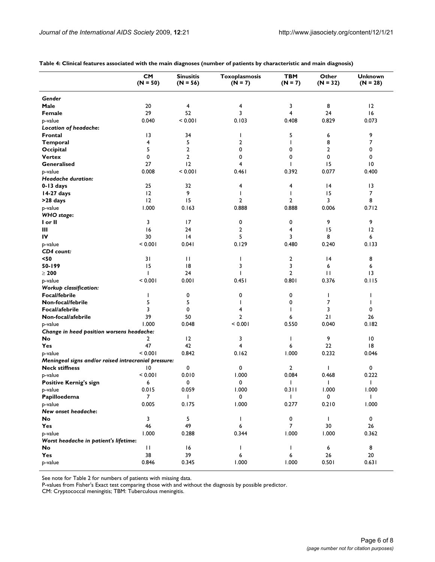|                                                      | <b>CM</b><br>$(N = 50)$ | <b>Sinusitis</b><br>$(N = 56)$ | Toxoplasmosis<br>$(N = 7)$ | <b>TBM</b><br>$(N = 7)$ | Other<br>$(N = 32)$  | <b>Unknown</b><br>$(N = 28)$ |
|------------------------------------------------------|-------------------------|--------------------------------|----------------------------|-------------------------|----------------------|------------------------------|
| Gender                                               |                         |                                |                            |                         |                      |                              |
| Male                                                 | 20                      | 4                              | 4                          | 3                       | 8                    | 12                           |
| Female                                               | 29                      | 52                             | 3                          | $\overline{4}$          | 24                   | 16                           |
| p-value                                              | 0.040                   | < 0.001                        | 0.103                      | 0.408                   | 0.829                | 0.073                        |
| Location of headache:                                |                         |                                |                            |                         |                      |                              |
| Frontal                                              | 13                      | 34                             | I.                         | 5                       | 6                    | 9                            |
| <b>Temporal</b>                                      | 4                       | 5                              | 2                          | I.                      | 8                    | 7                            |
| Occipital                                            | 5                       | $\overline{2}$                 | 0                          | 0                       | $\overline{2}$       | 0                            |
| <b>Vertex</b>                                        | 0                       | 2                              | 0                          | 0                       | 0                    | 0                            |
| Generalised                                          | 27                      | 12                             | 4                          | ı                       | 15                   | 10                           |
| p-value                                              | 0.008                   | < 0.001                        | 0.461                      | 0.392                   | 0.077                | 0.400                        |
| <b>Headache duration:</b>                            |                         |                                |                            |                         |                      |                              |
| $0-13$ days                                          | 25                      | 32                             | 4                          | 4                       | 14                   | $\overline{13}$              |
| 14-27 days                                           | 12                      | 9                              | I.                         | $\mathbf{I}$            | 15                   | 7                            |
| >28 days                                             | 12                      | 15                             | 2                          | $\overline{2}$          | 3                    | 8                            |
| p-value                                              | 1.000                   | 0.163                          | 0.888                      | 0.888                   | 0.006                | 0.712                        |
| <b>WHO</b> stage:                                    |                         |                                |                            |                         |                      |                              |
| I or II                                              | 3                       | 17                             | 0                          | 0                       | 9                    | 9                            |
| Ш                                                    | 16                      | 24                             | 2                          | 4                       | 15                   | 12                           |
| IV                                                   | 30                      | 4                              | 5                          | 3                       | 8                    | 6                            |
| p-value                                              | < 0.001                 | 0.041                          | 0.129                      | 0.480                   | 0.240                | 0.133                        |
| CD4 count:                                           |                         |                                |                            |                         |                      |                              |
| $50$                                                 | 31                      | $\mathbf{H}$                   | I.                         | $\overline{2}$          | 4                    | 8                            |
| 50-199                                               | 15                      | 18                             | 3                          | 3                       | 6                    | 6                            |
| $\geq 200$                                           | L                       | 24                             |                            | $\overline{2}$          | $\mathbf{H}$         | $\overline{13}$              |
| p-value                                              | < 0.001                 | 0.001                          | 0.451                      | 0.801                   | 0.376                | 0.115                        |
| Workup classification:                               |                         |                                |                            |                         |                      |                              |
| <b>Focal/febrile</b>                                 | ı                       | 0                              | 0                          | 0                       | $\mathbf{I}$         | I                            |
| Non-focal/febrile                                    | 5                       | 5                              | $\mathbf{I}$               | 0                       | 7                    | ı                            |
| Focal/afebrile                                       | 3                       | 0                              | 4                          |                         | 3                    | 0                            |
| Non-focal/afebrile                                   | 39                      | 50                             | 2                          | 6                       | 21                   | 26                           |
| p-value                                              | 1.000                   | 0.048                          | < 0.001                    | 0.550                   | 0.040                | 0.182                        |
| Change in head position worsens headache:            |                         |                                |                            |                         |                      |                              |
| No                                                   | 2                       | 12                             | 3                          | I.                      | 9                    | $\overline{10}$              |
| Yes                                                  | 47                      | 42                             | 4                          | 6                       | 22                   | 18                           |
| p-value                                              | < 0.001                 | 0.842                          | 0.162                      | 1.000                   | 0.232                | 0.046                        |
| Meningeal signs and/or raised intracranial pressure: |                         |                                |                            |                         |                      |                              |
| <b>Neck stiffness</b>                                | $\overline{10}$         | 0                              | 0                          | $\overline{2}$          | $\mathbf{I}$         | 0                            |
|                                                      | < 0.001                 | 0.010                          | 1.000                      | 0.084                   | 0.468                | 0.222                        |
| p-value                                              |                         | 0                              |                            |                         |                      |                              |
| <b>Positive Kernig's sign</b>                        | 6                       |                                | 0                          | I                       | $\mathbf{I}$         | I                            |
| p-value                                              | 0.015<br>$\overline{7}$ | 0.059<br>T                     | 1.000<br>$\mathbf 0$       | 0.311<br>$\mathbf{I}$   | 1.000<br>$\mathbf 0$ | 1.000<br>T                   |
| Papilloedema                                         |                         |                                |                            |                         |                      |                              |
| p-value                                              | 0.005                   | 0.175                          | 1.000                      | 0.277                   | 0.210                | 1.000                        |
| New onset headache:                                  |                         |                                |                            |                         |                      |                              |
| No.                                                  | 3                       | 5                              | $\mathbf{I}$               | 0<br>$\overline{7}$     | $\mathbf{I}$         | $\mathbf 0$                  |
| Yes                                                  | 46                      | 49                             | 6                          |                         | 30                   | 26                           |
| p-value                                              | 1.000                   | 0.288                          | 0.344                      | 1.000                   | 1.000                | 0.362                        |
| Worst headache in patient's lifetime:                |                         |                                |                            |                         |                      |                              |
| No                                                   | $\mathbf{H}$            | 16                             | $\mathbf{I}$               | I.                      | 6                    | 8                            |
| Yes                                                  | 38                      | 39                             | 6                          | 6                       | 26                   | $20\,$                       |
| p-value                                              | 0.846                   | 0.345                          | 1.000                      | 1.000                   | 0.501                | 0.631                        |

**Table 4: Clinical features associated with the main diagnoses (number of patients by characteristic and main diagnosis)**

See note for Table 2 for numbers of patients with missing data.

P-values from Fisher's Exact test comparing those with and without the diagnosis by possible predictor.

CM: Cryptococcal meningitis; TBM: Tuberculous meningitis.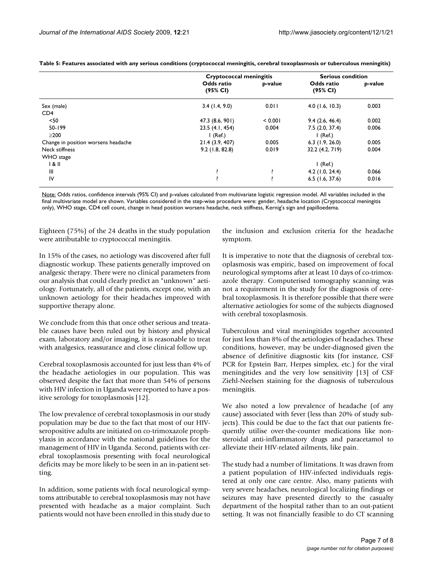|                                     | <b>Cryptococcal meningitis</b>      | <b>Serious condition</b> |                        |         |
|-------------------------------------|-------------------------------------|--------------------------|------------------------|---------|
|                                     | Odds ratio<br>$(95\% \, \text{Cl})$ | p-value                  | Odds ratio<br>(95% CI) | p-value |
| Sex (male)                          | 3.4(1.4, 9.0)                       | 0.011                    | $4.0$ (1.6, 10.3)      | 0.003   |
| CD <sub>4</sub>                     |                                     |                          |                        |         |
| $50$                                | 47.3 (8.6, 901)                     | < 0.001                  | 9.4(2.6, 46.4)         | 0.002   |
| 50-199                              | 23.5(4.1, 454)                      | 0.004                    | 7.5(2.0, 37.4)         | 0.006   |
| $\geq$ 200                          | $\mathsf{I}$ (Ref.)                 |                          | $I$ (Ref.)             |         |
| Change in position worsens headache | 21.4 (3.9, 407)                     | 0.005                    | $6.3$ (1.9, 26.0)      | 0.005   |
| Neck stiffness                      | $9.2$ (1.8, 82.8)                   | 0.019                    | 32.2 (4.2, 719)        | 0.004   |
| WHO stage                           |                                     |                          |                        |         |
| 181                                 |                                     |                          | $I$ (Ref.)             |         |
| III                                 |                                     |                          | $4.2$ (1.0, 24.4)      | 0.066   |
| IV                                  |                                     |                          | $6.5$ (1.6, 37.6)      | 0.016   |

**Table 5: Features associated with any serious conditions (cryptococcal meningitis, cerebral toxoplasmosis or tuberculous meningitis)**

Note: Odds ratios, confidence intervals (95% CI) and p-values calculated from multivariate logistic regression model. All variables included in the final multivariate model are shown. Variables considered in the step-wise procedure were: gender, headache location (Cryptococcal meningitis only), WHO stage, CD4 cell count, change in head position worsens headache, neck stiffness, Kernig's sign and papilloedema.

Eighteen (75%) of the 24 deaths in the study population were attributable to cryptococcal meningitis.

In 15% of the cases, no aetiology was discovered after full diagnostic workup. These patients generally improved on analgesic therapy. There were no clinical parameters from our analysis that could clearly predict an "unknown" aetiology. Fortunately, all of the patients, except one, with an unknown aetiology for their headaches improved with supportive therapy alone.

We conclude from this that once other serious and treatable causes have been ruled out by history and physical exam, laboratory and/or imaging, it is reasonable to treat with analgesics, reassurance and close clinical follow up.

Cerebral toxoplasmosis accounted for just less than 4% of the headache aetiologies in our population. This was observed despite the fact that more than 54% of persons with HIV infection in Uganda were reported to have a positive serology for toxoplasmosis [12].

The low prevalence of cerebral toxoplasmosis in our study population may be due to the fact that most of our HIVseropositive adults are initiated on co-trimoxazole prophylaxis in accordance with the national guidelines for the management of HIV in Uganda. Second, patients with cerebral toxoplasmosis presenting with focal neurological deficits may be more likely to be seen in an in-patient setting.

In addition, some patients with focal neurological symptoms attributable to cerebral toxoplasmosis may not have presented with headache as a major complaint. Such patients would not have been enrolled in this study due to

the inclusion and exclusion criteria for the headache symptom.

It is imperative to note that the diagnosis of cerebral toxoplasmosis was empiric, based on improvement of focal neurological symptoms after at least 10 days of co-trimoxazole therapy. Computerised tomography scanning was not a requirement in the study for the diagnosis of cerebral toxoplasmosis. It is therefore possible that there were alternative aetiologies for some of the subjects diagnosed with cerebral toxoplasmosis.

Tuberculous and viral meningitides together accounted for just less than 8% of the aetiologies of headaches. These conditions, however, may be under-diagnosed given the absence of definitive diagnostic kits (for instance, CSF PCR for Epstein Barr, Herpes simplex, etc.) for the viral meningitides and the very low sensitivity [13] of CSF Ziehl-Neelsen staining for the diagnosis of tuberculous meningitis.

We also noted a low prevalence of headache (of any cause) associated with fever (less than 20% of study subjects). This could be due to the fact that our patients frequently utilise over-the-counter medications like nonsteroidal anti-inflammatory drugs and paracetamol to alleviate their HIV-related ailments, like pain.

The study had a number of limitations. It was drawn from a patient population of HIV-infected individuals registered at only one care centre. Also, many patients with very severe headaches, neurological localizing findings or seizures may have presented directly to the casualty department of the hospital rather than to an out-patient setting. It was not financially feasible to do CT scanning